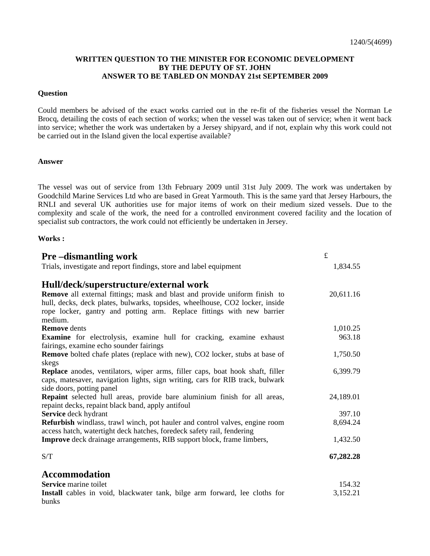## **WRITTEN QUESTION TO THE MINISTER FOR ECONOMIC DEVELOPMENT BY THE DEPUTY OF ST. JOHN ANSWER TO BE TABLED ON MONDAY 21st SEPTEMBER 2009**

### **Question**

Could members be advised of the exact works carried out in the re-fit of the fisheries vessel the Norman Le Brocq, detailing the costs of each section of works; when the vessel was taken out of service; when it went back into service; whether the work was undertaken by a Jersey shipyard, and if not, explain why this work could not be carried out in the Island given the local expertise available?

### **Answer**

The vessel was out of service from 13th February 2009 until 31st July 2009. The work was undertaken by Goodchild Marine Services Ltd who are based in Great Yarmouth. This is the same yard that Jersey Harbours, the RNLI and several UK authorities use for major items of work on their medium sized vessels. Due to the complexity and scale of the work, the need for a controlled environment covered facility and the location of specialist sub contractors, the work could not efficiently be undertaken in Jersey.

#### **Works :**

| <b>Pre-dismantling work</b>                                                                                                                                                                                                                            | $\pounds$ |
|--------------------------------------------------------------------------------------------------------------------------------------------------------------------------------------------------------------------------------------------------------|-----------|
| Trials, investigate and report findings, store and label equipment                                                                                                                                                                                     | 1,834.55  |
| Hull/deck/superstructure/external work                                                                                                                                                                                                                 |           |
| <b>Remove</b> all external fittings; mask and blast and provide uniform finish to<br>hull, decks, deck plates, bulwarks, topsides, wheelhouse, CO2 locker, inside<br>rope locker, gantry and potting arm. Replace fittings with new barrier<br>medium. | 20,611.16 |
| <b>Remove</b> dents                                                                                                                                                                                                                                    | 1,010.25  |
| Examine for electrolysis, examine hull for cracking, examine exhaust<br>fairings, examine echo sounder fairings                                                                                                                                        | 963.18    |
| <b>Remove</b> bolted chafe plates (replace with new), CO2 locker, stubs at base of                                                                                                                                                                     | 1,750.50  |
| skegs                                                                                                                                                                                                                                                  |           |
| Replace anodes, ventilators, wiper arms, filler caps, boat hook shaft, filler<br>caps, matesaver, navigation lights, sign writing, cars for RIB track, bulwark<br>side doors, potting panel                                                            | 6,399.79  |
| <b>Repaint</b> selected hull areas, provide bare aluminium finish for all areas,<br>repaint decks, repaint black band, apply antifoul                                                                                                                  | 24,189.01 |
| Service deck hydrant                                                                                                                                                                                                                                   | 397.10    |
| Refurbish windlass, trawl winch, pot hauler and control valves, engine room<br>access hatch, watertight deck hatches, foredeck safety rail, fendering                                                                                                  | 8,694.24  |
| <b>Improve</b> deck drainage arrangements, RIB support block, frame limbers,                                                                                                                                                                           | 1,432.50  |
| S/T                                                                                                                                                                                                                                                    | 67,282.28 |
| <b>Accommodation</b>                                                                                                                                                                                                                                   |           |
| Service marine toilet                                                                                                                                                                                                                                  | 154.32    |
| Install cables in void, blackwater tank, bilge arm forward, lee cloths for<br>bunks                                                                                                                                                                    | 3,152.21  |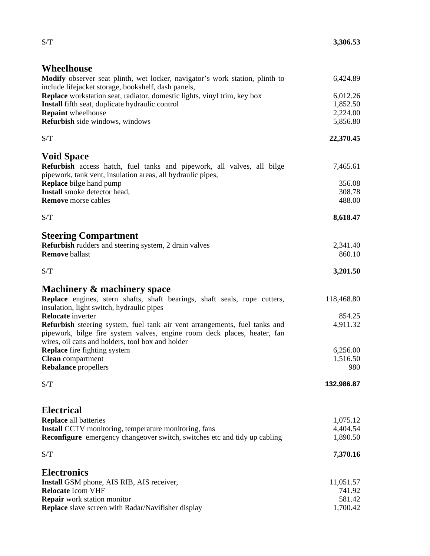# **Wheelhouse**

| Modify observer seat plinth, wet locker, navigator's work station, plinth to<br>include lifejacket storage, bookshelf, dash panels,                                                                        | 6,424.89   |
|------------------------------------------------------------------------------------------------------------------------------------------------------------------------------------------------------------|------------|
| <b>Replace</b> workstation seat, radiator, domestic lights, vinyl trim, key box                                                                                                                            | 6,012.26   |
| Install fifth seat, duplicate hydraulic control                                                                                                                                                            | 1,852.50   |
| <b>Repaint</b> wheelhouse                                                                                                                                                                                  | 2,224.00   |
| Refurbish side windows, windows                                                                                                                                                                            | 5,856.80   |
| S/T                                                                                                                                                                                                        | 22,370.45  |
| <b>Void Space</b>                                                                                                                                                                                          |            |
| Refurbish access hatch, fuel tanks and pipework, all valves, all bilge<br>pipework, tank vent, insulation areas, all hydraulic pipes,                                                                      | 7,465.61   |
| <b>Replace</b> bilge hand pump                                                                                                                                                                             | 356.08     |
| Install smoke detector head,                                                                                                                                                                               | 308.78     |
| <b>Remove</b> morse cables                                                                                                                                                                                 | 488.00     |
| S/T                                                                                                                                                                                                        | 8,618.47   |
| <b>Steering Compartment</b>                                                                                                                                                                                |            |
| <b>Refurbish</b> rudders and steering system, 2 drain valves                                                                                                                                               | 2,341.40   |
| <b>Remove ballast</b>                                                                                                                                                                                      | 860.10     |
| S/T                                                                                                                                                                                                        | 3,201.50   |
| Machinery & machinery space                                                                                                                                                                                |            |
| Replace engines, stern shafts, shaft bearings, shaft seals, rope cutters,                                                                                                                                  | 118,468.80 |
| insulation, light switch, hydraulic pipes                                                                                                                                                                  |            |
| <b>Relocate</b> inverter                                                                                                                                                                                   | 854.25     |
| Refurbish steering system, fuel tank air vent arrangements, fuel tanks and<br>pipework, bilge fire system valves, engine room deck places, heater, fan<br>wires, oil cans and holders, tool box and holder | 4,911.32   |
| <b>Replace</b> fire fighting system                                                                                                                                                                        | 6,256.00   |
| <b>Clean</b> compartment                                                                                                                                                                                   | 1,516.50   |
| <b>Rebalance</b> propellers                                                                                                                                                                                | 980        |
| S/T                                                                                                                                                                                                        | 132,986.87 |
| <b>Electrical</b>                                                                                                                                                                                          |            |
| <b>Replace</b> all batteries                                                                                                                                                                               | 1,075.12   |
| <b>Install</b> CCTV monitoring, temperature monitoring, fans                                                                                                                                               | 4,404.54   |
| <b>Reconfigure</b> emergency changeover switch, switches etc and tidy up cabling                                                                                                                           | 1,890.50   |
| S/T                                                                                                                                                                                                        | 7,370.16   |
| <b>Electronics</b>                                                                                                                                                                                         |            |
| Install GSM phone, AIS RIB, AIS receiver,                                                                                                                                                                  | 11,051.57  |
| <b>Relocate Icom VHF</b>                                                                                                                                                                                   | 741.92     |
| <b>Repair</b> work station monitor                                                                                                                                                                         | 581.42     |
| Replace slave screen with Radar/Navifisher display                                                                                                                                                         | 1,700.42   |